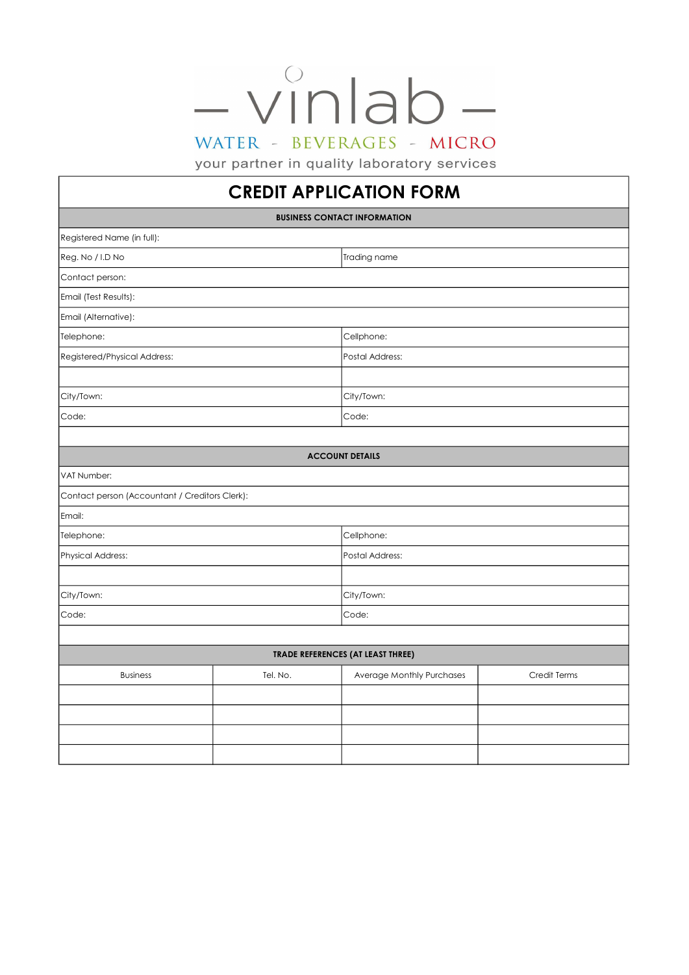## $-v^{\circ}$ nlab WATER - BEVERAGES - MICRO

your partner in quality laboratory services

## CREDIT APPLICATION FORM

|                                                |          | <b>BUSINESS CONTACT INFORMATION</b> |              |  |  |  |  |
|------------------------------------------------|----------|-------------------------------------|--------------|--|--|--|--|
| Registered Name (in full):                     |          |                                     |              |  |  |  |  |
| Reg. No / I.D No                               |          | Trading name                        |              |  |  |  |  |
| Contact person:                                |          |                                     |              |  |  |  |  |
| Email (Test Results):                          |          |                                     |              |  |  |  |  |
| Email (Alternative):                           |          |                                     |              |  |  |  |  |
| Telephone:                                     |          | Cellphone:                          |              |  |  |  |  |
| Registered/Physical Address:                   |          | Postal Address:                     |              |  |  |  |  |
|                                                |          |                                     |              |  |  |  |  |
| City/Town:                                     |          | City/Town:                          |              |  |  |  |  |
| Code:                                          |          | Code:                               |              |  |  |  |  |
|                                                |          |                                     |              |  |  |  |  |
| <b>ACCOUNT DETAILS</b>                         |          |                                     |              |  |  |  |  |
| VAT Number:                                    |          |                                     |              |  |  |  |  |
| Contact person (Accountant / Creditors Clerk): |          |                                     |              |  |  |  |  |
| Email:                                         |          |                                     |              |  |  |  |  |
| Telephone:                                     |          | Cellphone:                          |              |  |  |  |  |
| Physical Address:                              |          | Postal Address:                     |              |  |  |  |  |
|                                                |          |                                     |              |  |  |  |  |
| City/Town:                                     |          | City/Town:                          |              |  |  |  |  |
| Code:                                          |          | Code:                               |              |  |  |  |  |
|                                                |          |                                     |              |  |  |  |  |
| <b>TRADE REFERENCES (AT LEAST THREE)</b>       |          |                                     |              |  |  |  |  |
| <b>Business</b>                                | Tel. No. | Average Monthly Purchases           | Credit Terms |  |  |  |  |
|                                                |          |                                     |              |  |  |  |  |
|                                                |          |                                     |              |  |  |  |  |
|                                                |          |                                     |              |  |  |  |  |
|                                                |          |                                     |              |  |  |  |  |